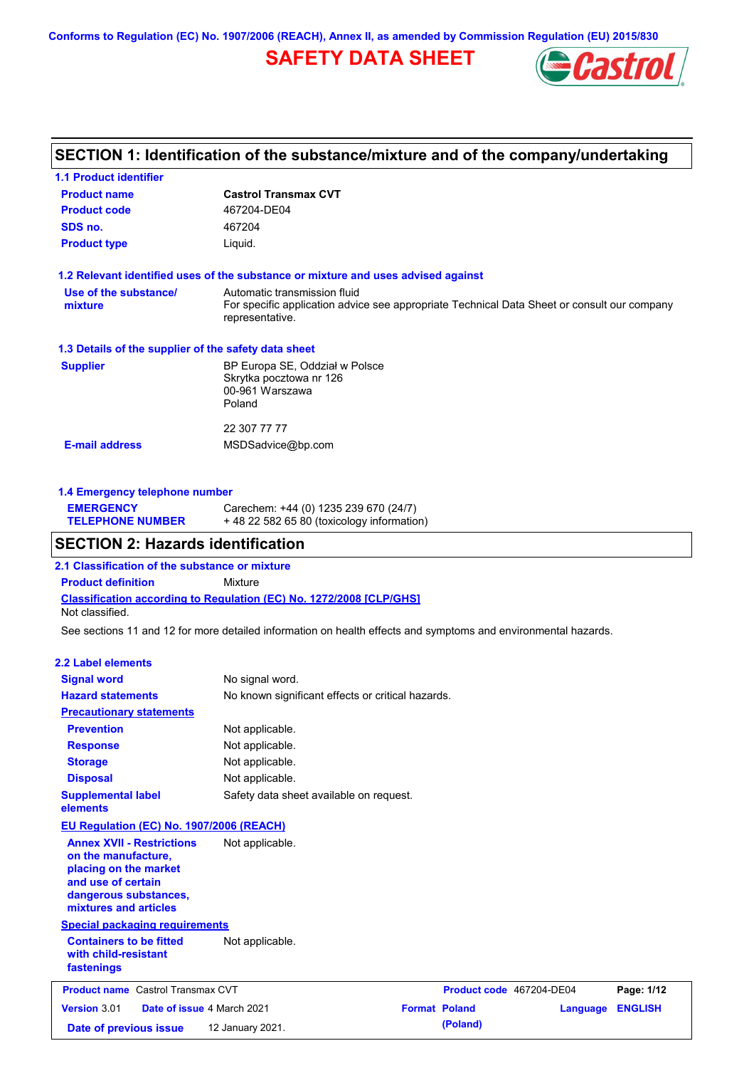**Conforms to Regulation (EC) No. 1907/2006 (REACH), Annex II, as amended by Commission Regulation (EU) 2015/830**

## **SAFETY DATA SHEET**



### **SECTION 1: Identification of the substance/mixture and of the company/undertaking**

| <b>1.1 Product identifier</b>                        |                                                                                                                                                |
|------------------------------------------------------|------------------------------------------------------------------------------------------------------------------------------------------------|
| <b>Product name</b>                                  | <b>Castrol Transmax CVT</b>                                                                                                                    |
| <b>Product code</b>                                  | 467204-DE04                                                                                                                                    |
| SDS no.                                              | 467204                                                                                                                                         |
| <b>Product type</b>                                  | Liquid.                                                                                                                                        |
|                                                      | 1.2 Relevant identified uses of the substance or mixture and uses advised against                                                              |
| Use of the substance/<br>mixture                     | Automatic transmission fluid<br>For specific application advice see appropriate Technical Data Sheet or consult our company<br>representative. |
| 1.3 Details of the supplier of the safety data sheet |                                                                                                                                                |
| <b>Supplier</b>                                      | BP Europa SE, Oddział w Polsce<br>Skrytka pocztowa nr 126<br>00-961 Warszawa<br>Poland                                                         |
| <b>E-mail address</b>                                | 22 307 77 77<br>MSDSadvice@bp.com                                                                                                              |

#### **1.4 Emergency telephone number**

| <b>EMERGENCY</b>        | Carechem: +44 (0) 1235 239 670 (24/7)     |
|-------------------------|-------------------------------------------|
| <b>TELEPHONE NUMBER</b> | +48 22 582 65 80 (toxicology information) |

### **SECTION 2: Hazards identification**

**2.1 Classification of the substance or mixture**

**Classification according to Regulation (EC) No. 1272/2008 [CLP/GHS] Product definition** Mixture Not classified.

See sections 11 and 12 for more detailed information on health effects and symptoms and environmental hazards.

#### **2.2 Label elements**

| <b>Signal word</b>                                                                                                                                       | No signal word.                                   |                      |                          |          |                |
|----------------------------------------------------------------------------------------------------------------------------------------------------------|---------------------------------------------------|----------------------|--------------------------|----------|----------------|
| <b>Hazard statements</b>                                                                                                                                 | No known significant effects or critical hazards. |                      |                          |          |                |
| <b>Precautionary statements</b>                                                                                                                          |                                                   |                      |                          |          |                |
| <b>Prevention</b>                                                                                                                                        | Not applicable.                                   |                      |                          |          |                |
| <b>Response</b>                                                                                                                                          | Not applicable.                                   |                      |                          |          |                |
| <b>Storage</b>                                                                                                                                           | Not applicable.                                   |                      |                          |          |                |
| <b>Disposal</b>                                                                                                                                          | Not applicable.                                   |                      |                          |          |                |
| <b>Supplemental label</b><br>elements                                                                                                                    | Safety data sheet available on request.           |                      |                          |          |                |
| EU Regulation (EC) No. 1907/2006 (REACH)                                                                                                                 |                                                   |                      |                          |          |                |
| <b>Annex XVII - Restrictions</b><br>on the manufacture,<br>placing on the market<br>and use of certain<br>dangerous substances,<br>mixtures and articles | Not applicable.                                   |                      |                          |          |                |
| <b>Special packaging requirements</b>                                                                                                                    |                                                   |                      |                          |          |                |
| <b>Containers to be fitted</b><br>with child-resistant<br>fastenings                                                                                     | Not applicable.                                   |                      |                          |          |                |
| <b>Product name</b> Castrol Transmax CVT                                                                                                                 |                                                   |                      | Product code 467204-DE04 |          | Page: 1/12     |
| Version 3.01<br>Date of issue 4 March 2021                                                                                                               |                                                   | <b>Format Poland</b> |                          | Language | <b>ENGLISH</b> |
| Date of previous issue                                                                                                                                   | 12 January 2021.                                  |                      | (Poland)                 |          |                |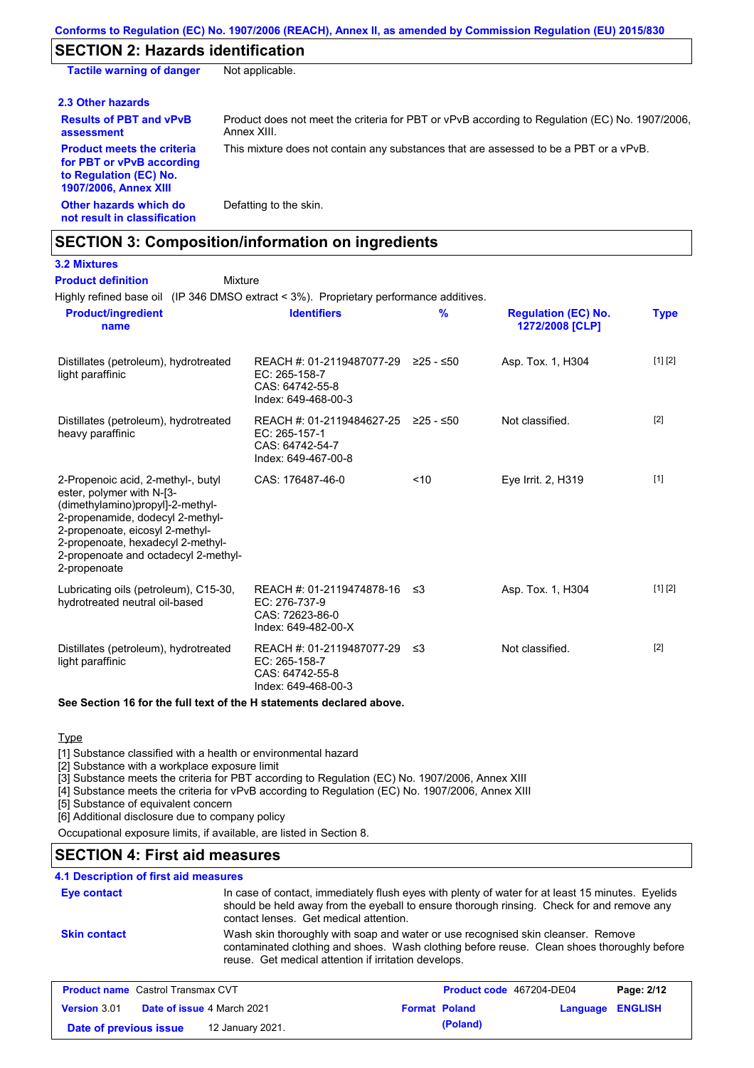### **SECTION 2: Hazards identification**

**Other hazards which do not result in classification** Defatting to the skin. **Tactile warning of danger** Not applicable. **2.3 Other hazards Results of PBT and vPvB assessment** Product does not meet the criteria for PBT or vPvB according to Regulation (EC) No. 1907/2006, Annex XIII. **Product meets the criteria for PBT or vPvB according to Regulation (EC) No. 1907/2006, Annex XIII** This mixture does not contain any substances that are assessed to be a PBT or a vPvB.

### **SECTION 3: Composition/information on ingredients**

|  | <u>IALAIIAII AI AA</u> |  |
|--|------------------------|--|
|  | <b>3.2 Mixtures</b>    |  |

Highly refined base oil (IP 346 DMSO extract < 3%). Proprietary performance additives. Mixture **Product definition**

| <b>Product/ingredient</b><br>name                                                                                                                                                                                                                                       | <b>Identifiers</b>                                                                             | $\frac{9}{6}$ | <b>Regulation (EC) No.</b><br>1272/2008 [CLP] | <b>Type</b> |
|-------------------------------------------------------------------------------------------------------------------------------------------------------------------------------------------------------------------------------------------------------------------------|------------------------------------------------------------------------------------------------|---------------|-----------------------------------------------|-------------|
| Distillates (petroleum), hydrotreated<br>light paraffinic                                                                                                                                                                                                               | REACH #: 01-2119487077-29 ≥25 - ≤50<br>EC: 265-158-7<br>CAS: 64742-55-8<br>Index: 649-468-00-3 |               | Asp. Tox. 1, H304                             | [1] [2]     |
| Distillates (petroleum), hydrotreated<br>heavy paraffinic                                                                                                                                                                                                               | REACH #: 01-2119484627-25<br>EC: 265-157-1<br>CAS: 64742-54-7<br>Index: 649-467-00-8           | $≥25 - ≤50$   | Not classified.                               | $[2]$       |
| 2-Propenoic acid, 2-methyl-, butyl<br>ester, polymer with N-[3-<br>(dimethylamino)propyl]-2-methyl-<br>2-propenamide, dodecyl 2-methyl-<br>2-propenoate, eicosyl 2-methyl-<br>2-propenoate, hexadecyl 2-methyl-<br>2-propenoate and octadecyl 2-methyl-<br>2-propenoate | CAS: 176487-46-0                                                                               | < 10          | Eye Irrit. 2, H319                            | $[1]$       |
| Lubricating oils (petroleum), C15-30,<br>hydrotreated neutral oil-based                                                                                                                                                                                                 | REACH #: 01-2119474878-16 ≤3<br>EC: 276-737-9<br>CAS: 72623-86-0<br>Index: 649-482-00-X        |               | Asp. Tox. 1, H304                             | [1] [2]     |
| Distillates (petroleum), hydrotreated<br>light paraffinic                                                                                                                                                                                                               | REACH #: 01-2119487077-29<br>EC: 265-158-7<br>CAS: 64742-55-8<br>Index: 649-468-00-3           | -≤3           | Not classified.                               | $[2]$       |

**See Section 16 for the full text of the H statements declared above.**

#### **Type**

[1] Substance classified with a health or environmental hazard

[2] Substance with a workplace exposure limit

[3] Substance meets the criteria for PBT according to Regulation (EC) No. 1907/2006, Annex XIII

[4] Substance meets the criteria for vPvB according to Regulation (EC) No. 1907/2006, Annex XIII

[5] Substance of equivalent concern

[6] Additional disclosure due to company policy

Occupational exposure limits, if available, are listed in Section 8.

### **SECTION 4: First aid measures**

#### **4.1 Description of first aid measures**

| <b>Eye contact</b>  | In case of contact, immediately flush eyes with plenty of water for at least 15 minutes. Eyelids<br>should be held away from the eyeball to ensure thorough rinsing. Check for and remove any<br>contact lenses. Get medical attention. |
|---------------------|-----------------------------------------------------------------------------------------------------------------------------------------------------------------------------------------------------------------------------------------|
| <b>Skin contact</b> | Wash skin thoroughly with soap and water or use recognised skin cleanser. Remove<br>contaminated clothing and shoes. Wash clothing before reuse. Clean shoes thoroughly before<br>reuse. Get medical attention if irritation develops.  |

| <b>Product name</b> Castrol Transmax CVT |  | <b>Product code</b> 467204-DE04   |  | Page: 2/12           |                  |  |
|------------------------------------------|--|-----------------------------------|--|----------------------|------------------|--|
| <b>Version 3.01</b>                      |  | <b>Date of issue 4 March 2021</b> |  | <b>Format Poland</b> | Language ENGLISH |  |
| Date of previous issue                   |  | 12 January 2021.                  |  | (Poland)             |                  |  |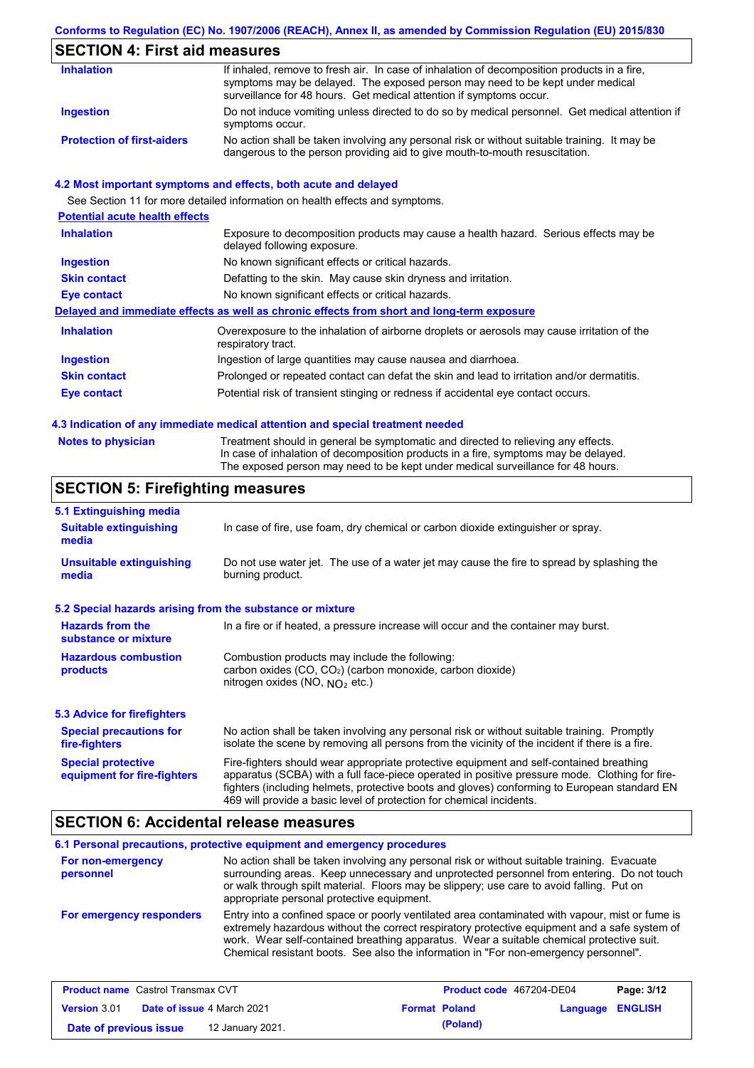### **SECTION 4: First aid measures**

| <b>Inhalation</b>                 | If inhaled, remove to fresh air. In case of inhalation of decomposition products in a fire,<br>symptoms may be delayed. The exposed person may need to be kept under medical<br>surveillance for 48 hours. Get medical attention if symptoms occur. |
|-----------------------------------|-----------------------------------------------------------------------------------------------------------------------------------------------------------------------------------------------------------------------------------------------------|
| <b>Ingestion</b>                  | Do not induce vomiting unless directed to do so by medical personnel. Get medical attention if<br>symptoms occur.                                                                                                                                   |
| <b>Protection of first-aiders</b> | No action shall be taken involving any personal risk or without suitable training. It may be<br>dangerous to the person providing aid to give mouth-to-mouth resuscitation.                                                                         |

#### **4.2 Most important symptoms and effects, both acute and delayed**

See Section 11 for more detailed information on health effects and symptoms. **Potential acute health effects Inhalation** Exposure to decomposition products may cause a health hazard. Serious effects may be delayed following exposure. **Ingestion** No known significant effects or critical hazards. **Skin contact** Defatting to the skin. May cause skin dryness and irritation. **Eye contact** No known significant effects or critical hazards. **Delayed and immediate effects as well as chronic effects from short and long-term exposure Inhalation Ingestion Skin contact Eye contact** Overexposure to the inhalation of airborne droplets or aerosols may cause irritation of the respiratory tract. Ingestion of large quantities may cause nausea and diarrhoea. Prolonged or repeated contact can defat the skin and lead to irritation and/or dermatitis. Potential risk of transient stinging or redness if accidental eye contact occurs.

#### **4.3 Indication of any immediate medical attention and special treatment needed**

| Notes to physician | Treatment should in general be symptomatic and directed to relieving any effects.   |
|--------------------|-------------------------------------------------------------------------------------|
|                    | In case of inhalation of decomposition products in a fire, symptoms may be delayed. |
|                    | The exposed person may need to be kept under medical surveillance for 48 hours.     |

### **SECTION 5: Firefighting measures**

| 5.1 Extinguishing media                                                                                                                                                                                  |                                                                                                                                                                                                                                                                                                                                                                   |
|----------------------------------------------------------------------------------------------------------------------------------------------------------------------------------------------------------|-------------------------------------------------------------------------------------------------------------------------------------------------------------------------------------------------------------------------------------------------------------------------------------------------------------------------------------------------------------------|
| <b>Suitable extinguishing</b><br>media                                                                                                                                                                   | In case of fire, use foam, dry chemical or carbon dioxide extinguisher or spray.                                                                                                                                                                                                                                                                                  |
| <b>Unsuitable extinguishing</b><br>media                                                                                                                                                                 | Do not use water jet. The use of a water jet may cause the fire to spread by splashing the<br>burning product.                                                                                                                                                                                                                                                    |
| 5.2 Special hazards arising from the substance or mixture                                                                                                                                                |                                                                                                                                                                                                                                                                                                                                                                   |
| <b>Hazards from the</b><br>substance or mixture                                                                                                                                                          | In a fire or if heated, a pressure increase will occur and the container may burst.                                                                                                                                                                                                                                                                               |
| <b>Hazardous combustion</b><br>Combustion products may include the following:<br>carbon oxides (CO, CO <sub>2</sub> ) (carbon monoxide, carbon dioxide)<br>products<br>nitrogen oxides (NO, $NQ_2$ etc.) |                                                                                                                                                                                                                                                                                                                                                                   |
| 5.3 Advice for firefighters                                                                                                                                                                              |                                                                                                                                                                                                                                                                                                                                                                   |
| <b>Special precautions for</b><br>fire-fighters                                                                                                                                                          | No action shall be taken involving any personal risk or without suitable training. Promptly<br>isolate the scene by removing all persons from the vicinity of the incident if there is a fire.                                                                                                                                                                    |
| <b>Special protective</b><br>equipment for fire-fighters                                                                                                                                                 | Fire-fighters should wear appropriate protective equipment and self-contained breathing<br>apparatus (SCBA) with a full face-piece operated in positive pressure mode. Clothing for fire-<br>fighters (including helmets, protective boots and gloves) conforming to European standard EN<br>469 will provide a basic level of protection for chemical incidents. |

### **SECTION 6: Accidental release measures**

|                                | 6.1 Personal precautions, protective equipment and emergency procedures                                                                                                                                                                                                                                                                                                              |
|--------------------------------|--------------------------------------------------------------------------------------------------------------------------------------------------------------------------------------------------------------------------------------------------------------------------------------------------------------------------------------------------------------------------------------|
| For non-emergency<br>personnel | No action shall be taken involving any personal risk or without suitable training. Evacuate<br>surrounding areas. Keep unnecessary and unprotected personnel from entering. Do not touch<br>or walk through spilt material. Floors may be slippery; use care to avoid falling. Put on<br>appropriate personal protective equipment.                                                  |
| For emergency responders       | Entry into a confined space or poorly ventilated area contaminated with vapour, mist or fume is<br>extremely hazardous without the correct respiratory protective equipment and a safe system of<br>work. Wear self-contained breathing apparatus. Wear a suitable chemical protective suit.<br>Chemical resistant boots. See also the information in "For non-emergency personnel". |

| <b>Product name</b> Castrol Transmax CVT |  |                                   | <b>Product code</b> 467204-DE04 | Page: 3/12           |                  |  |
|------------------------------------------|--|-----------------------------------|---------------------------------|----------------------|------------------|--|
| <b>Version 3.01</b>                      |  | <b>Date of issue 4 March 2021</b> |                                 | <b>Format Poland</b> | Language ENGLISH |  |
| Date of previous issue                   |  | 12 January 2021.                  |                                 | (Poland)             |                  |  |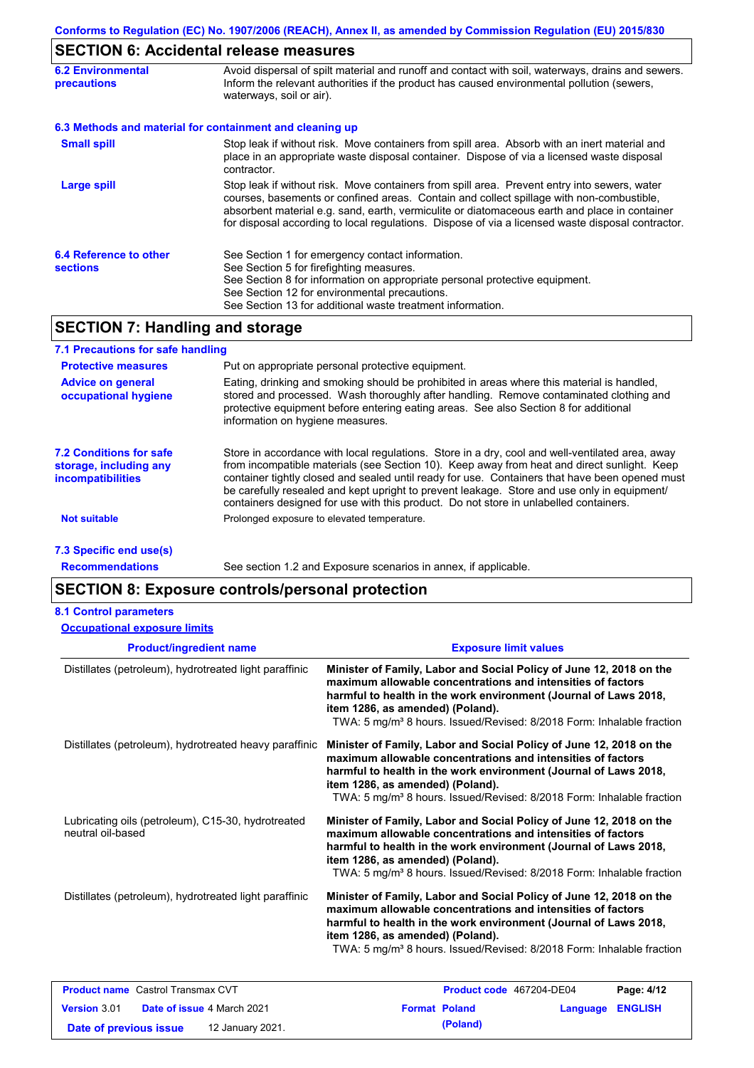## **SECTION 6: Accidental release measures**

| <b>6.2 Environmental</b><br><b>precautions</b> | Avoid dispersal of spilt material and runoff and contact with soil, waterways, drains and sewers.<br>Inform the relevant authorities if the product has caused environmental pollution (sewers,<br>waterways, soil or air).                                                                                                                                                                    |  |  |
|------------------------------------------------|------------------------------------------------------------------------------------------------------------------------------------------------------------------------------------------------------------------------------------------------------------------------------------------------------------------------------------------------------------------------------------------------|--|--|
|                                                | 6.3 Methods and material for containment and cleaning up                                                                                                                                                                                                                                                                                                                                       |  |  |
| <b>Small spill</b>                             | Stop leak if without risk. Move containers from spill area. Absorb with an inert material and<br>place in an appropriate waste disposal container. Dispose of via a licensed waste disposal<br>contractor.                                                                                                                                                                                     |  |  |
| Large spill                                    | Stop leak if without risk. Move containers from spill area. Prevent entry into sewers, water<br>courses, basements or confined areas. Contain and collect spillage with non-combustible,<br>absorbent material e.g. sand, earth, vermiculite or diatomaceous earth and place in container<br>for disposal according to local regulations. Dispose of via a licensed waste disposal contractor. |  |  |
| 6.4 Reference to other<br><b>sections</b>      | See Section 1 for emergency contact information.<br>See Section 5 for firefighting measures.<br>See Section 8 for information on appropriate personal protective equipment.<br>See Section 12 for environmental precautions.<br>See Section 13 for additional waste treatment information.                                                                                                     |  |  |

### **SECTION 7: Handling and storage**

| 7.1 Precautions for safe handling                                                    |                                                                                                                                                                                                                                                                                                                                                                                                                                                                                          |
|--------------------------------------------------------------------------------------|------------------------------------------------------------------------------------------------------------------------------------------------------------------------------------------------------------------------------------------------------------------------------------------------------------------------------------------------------------------------------------------------------------------------------------------------------------------------------------------|
| <b>Protective measures</b>                                                           | Put on appropriate personal protective equipment.                                                                                                                                                                                                                                                                                                                                                                                                                                        |
| <b>Advice on general</b><br>occupational hygiene                                     | Eating, drinking and smoking should be prohibited in areas where this material is handled,<br>stored and processed. Wash thoroughly after handling. Remove contaminated clothing and<br>protective equipment before entering eating areas. See also Section 8 for additional<br>information on hygiene measures.                                                                                                                                                                         |
| <b>7.2 Conditions for safe</b><br>storage, including any<br><i>incompatibilities</i> | Store in accordance with local regulations. Store in a dry, cool and well-ventilated area, away<br>from incompatible materials (see Section 10). Keep away from heat and direct sunlight. Keep<br>container tightly closed and sealed until ready for use. Containers that have been opened must<br>be carefully resealed and kept upright to prevent leakage. Store and use only in equipment/<br>containers designed for use with this product. Do not store in unlabelled containers. |
| <b>Not suitable</b>                                                                  | Prolonged exposure to elevated temperature.                                                                                                                                                                                                                                                                                                                                                                                                                                              |
| 7.3 Specific end use(s)                                                              |                                                                                                                                                                                                                                                                                                                                                                                                                                                                                          |

**Recommendations**

See section 1.2 and Exposure scenarios in annex, if applicable.

### **SECTION 8: Exposure controls/personal protection**

**Date of previous issue (Poland)** 12 January 2021.

#### **8.1 Control parameters**

| <b>Occupational exposure limits</b> |
|-------------------------------------|
|-------------------------------------|

| <b>Product/ingredient name</b>                                          | <b>Exposure limit values</b>                                                                                                                                                                                                                                                                                                    |  |  |  |
|-------------------------------------------------------------------------|---------------------------------------------------------------------------------------------------------------------------------------------------------------------------------------------------------------------------------------------------------------------------------------------------------------------------------|--|--|--|
| Distillates (petroleum), hydrotreated light paraffinic                  | Minister of Family, Labor and Social Policy of June 12, 2018 on the<br>maximum allowable concentrations and intensities of factors<br>harmful to health in the work environment (Journal of Laws 2018,<br>item 1286, as amended) (Poland).<br>TWA: 5 mg/m <sup>3</sup> 8 hours. Issued/Revised: 8/2018 Form: Inhalable fraction |  |  |  |
| Distillates (petroleum), hydrotreated heavy paraffinic                  | Minister of Family, Labor and Social Policy of June 12, 2018 on the<br>maximum allowable concentrations and intensities of factors<br>harmful to health in the work environment (Journal of Laws 2018,<br>item 1286, as amended) (Poland).<br>TWA: 5 mg/m <sup>3</sup> 8 hours. Issued/Revised: 8/2018 Form: Inhalable fraction |  |  |  |
| Lubricating oils (petroleum), C15-30, hydrotreated<br>neutral oil-based | Minister of Family, Labor and Social Policy of June 12, 2018 on the<br>maximum allowable concentrations and intensities of factors<br>harmful to health in the work environment (Journal of Laws 2018,<br>item 1286, as amended) (Poland).<br>TWA: 5 mg/m <sup>3</sup> 8 hours. Issued/Revised: 8/2018 Form: Inhalable fraction |  |  |  |
| Distillates (petroleum), hydrotreated light paraffinic                  | Minister of Family, Labor and Social Policy of June 12, 2018 on the<br>maximum allowable concentrations and intensities of factors<br>harmful to health in the work environment (Journal of Laws 2018,<br>item 1286, as amended) (Poland).<br>TWA: 5 mg/m <sup>3</sup> 8 hours. Issued/Revised: 8/2018 Form: Inhalable fraction |  |  |  |
| <b>Product name</b> Castrol Transmax CVT                                | Page: 4/12<br>Product code 467204-DE04                                                                                                                                                                                                                                                                                          |  |  |  |
| Version 3.01<br>Date of issue 4 March 2021                              | <b>Format Poland</b><br><b>ENGLISH</b><br>Language                                                                                                                                                                                                                                                                              |  |  |  |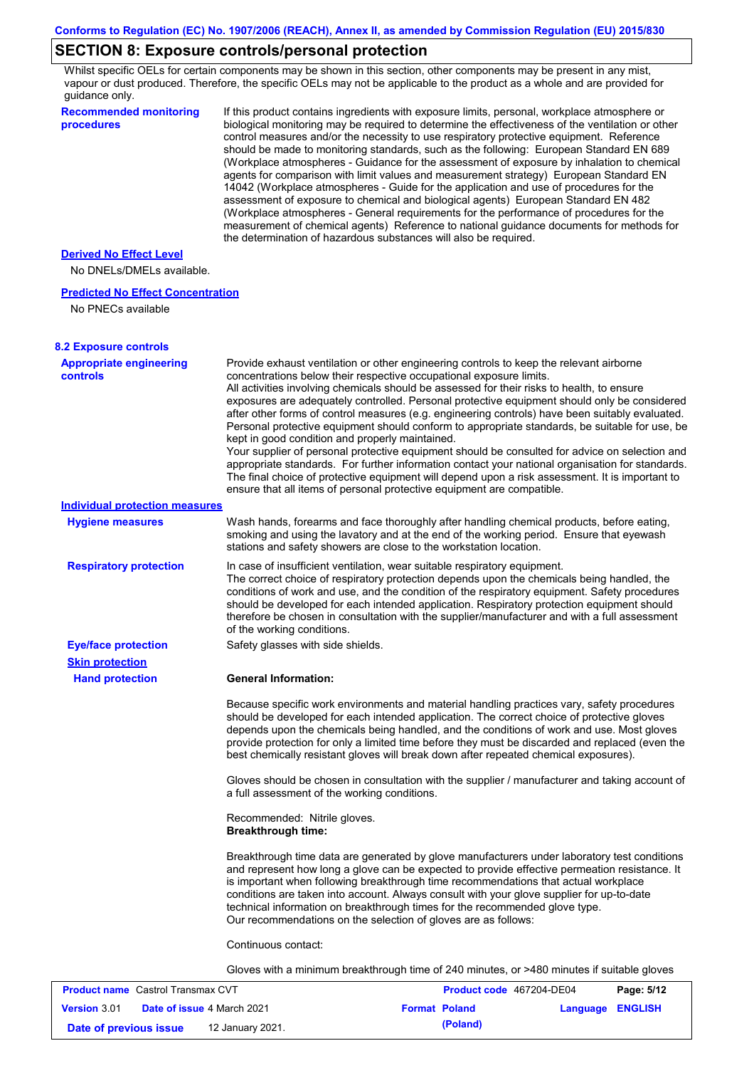## **SECTION 8: Exposure controls/personal protection**

Whilst specific OELs for certain components may be shown in this section, other components may be present in any mist, vapour or dust produced. Therefore, the specific OELs may not be applicable to the product as a whole and are provided for guidance only.

| 90000000000000<br><b>Recommended monitoring</b><br>procedures  | If this product contains ingredients with exposure limits, personal, workplace atmosphere or<br>biological monitoring may be required to determine the effectiveness of the ventilation or other<br>control measures and/or the necessity to use respiratory protective equipment. Reference<br>should be made to monitoring standards, such as the following: European Standard EN 689<br>(Workplace atmospheres - Guidance for the assessment of exposure by inhalation to chemical<br>agents for comparison with limit values and measurement strategy) European Standard EN<br>14042 (Workplace atmospheres - Guide for the application and use of procedures for the<br>assessment of exposure to chemical and biological agents) European Standard EN 482<br>(Workplace atmospheres - General requirements for the performance of procedures for the<br>measurement of chemical agents) Reference to national guidance documents for methods for<br>the determination of hazardous substances will also be required. |  |
|----------------------------------------------------------------|----------------------------------------------------------------------------------------------------------------------------------------------------------------------------------------------------------------------------------------------------------------------------------------------------------------------------------------------------------------------------------------------------------------------------------------------------------------------------------------------------------------------------------------------------------------------------------------------------------------------------------------------------------------------------------------------------------------------------------------------------------------------------------------------------------------------------------------------------------------------------------------------------------------------------------------------------------------------------------------------------------------------------|--|
| <b>Derived No Effect Level</b><br>No DNELs/DMELs available.    |                                                                                                                                                                                                                                                                                                                                                                                                                                                                                                                                                                                                                                                                                                                                                                                                                                                                                                                                                                                                                            |  |
|                                                                |                                                                                                                                                                                                                                                                                                                                                                                                                                                                                                                                                                                                                                                                                                                                                                                                                                                                                                                                                                                                                            |  |
| <b>Predicted No Effect Concentration</b><br>No PNECs available |                                                                                                                                                                                                                                                                                                                                                                                                                                                                                                                                                                                                                                                                                                                                                                                                                                                                                                                                                                                                                            |  |
| <b>8.2 Exposure controls</b>                                   |                                                                                                                                                                                                                                                                                                                                                                                                                                                                                                                                                                                                                                                                                                                                                                                                                                                                                                                                                                                                                            |  |
| <b>Appropriate engineering</b><br><b>controls</b>              | Provide exhaust ventilation or other engineering controls to keep the relevant airborne<br>concentrations below their respective occupational exposure limits.<br>All activities involving chemicals should be assessed for their risks to health, to ensure<br>exposures are adequately controlled. Personal protective equipment should only be considered<br>after other forms of control measures (e.g. engineering controls) have been suitably evaluated.<br>Personal protective equipment should conform to appropriate standards, be suitable for use, be<br>kept in good condition and properly maintained.<br>Your supplier of personal protective equipment should be consulted for advice on selection and<br>appropriate standards. For further information contact your national organisation for standards.<br>The final choice of protective equipment will depend upon a risk assessment. It is important to<br>ensure that all items of personal protective equipment are compatible.                    |  |
| <b>Individual protection measures</b>                          |                                                                                                                                                                                                                                                                                                                                                                                                                                                                                                                                                                                                                                                                                                                                                                                                                                                                                                                                                                                                                            |  |
| <b>Hygiene measures</b>                                        | Wash hands, forearms and face thoroughly after handling chemical products, before eating,<br>smoking and using the lavatory and at the end of the working period. Ensure that eyewash<br>stations and safety showers are close to the workstation location.                                                                                                                                                                                                                                                                                                                                                                                                                                                                                                                                                                                                                                                                                                                                                                |  |
| <b>Respiratory protection</b>                                  | In case of insufficient ventilation, wear suitable respiratory equipment.<br>The correct choice of respiratory protection depends upon the chemicals being handled, the<br>conditions of work and use, and the condition of the respiratory equipment. Safety procedures<br>should be developed for each intended application. Respiratory protection equipment should<br>therefore be chosen in consultation with the supplier/manufacturer and with a full assessment<br>of the working conditions.                                                                                                                                                                                                                                                                                                                                                                                                                                                                                                                      |  |
| <b>Eye/face protection</b>                                     | Safety glasses with side shields.                                                                                                                                                                                                                                                                                                                                                                                                                                                                                                                                                                                                                                                                                                                                                                                                                                                                                                                                                                                          |  |
| <b>Skin protection</b>                                         |                                                                                                                                                                                                                                                                                                                                                                                                                                                                                                                                                                                                                                                                                                                                                                                                                                                                                                                                                                                                                            |  |
| <b>Hand protection</b>                                         | <b>General Information:</b>                                                                                                                                                                                                                                                                                                                                                                                                                                                                                                                                                                                                                                                                                                                                                                                                                                                                                                                                                                                                |  |
|                                                                | Because specific work environments and material handling practices vary, safety procedures<br>should be developed for each intended application. The correct choice of protective gloves<br>depends upon the chemicals being handled, and the conditions of work and use. Most gloves<br>provide protection for only a limited time before they must be discarded and replaced (even the<br>best chemically resistant gloves will break down after repeated chemical exposures).                                                                                                                                                                                                                                                                                                                                                                                                                                                                                                                                           |  |
|                                                                | Gloves should be chosen in consultation with the supplier / manufacturer and taking account of<br>a full assessment of the working conditions.                                                                                                                                                                                                                                                                                                                                                                                                                                                                                                                                                                                                                                                                                                                                                                                                                                                                             |  |
|                                                                | Recommended: Nitrile gloves.<br><b>Breakthrough time:</b>                                                                                                                                                                                                                                                                                                                                                                                                                                                                                                                                                                                                                                                                                                                                                                                                                                                                                                                                                                  |  |
|                                                                | Breakthrough time data are generated by glove manufacturers under laboratory test conditions<br>and represent how long a glove can be expected to provide effective permeation resistance. It<br>is important when following breakthrough time recommendations that actual workplace<br>conditions are taken into account. Always consult with your glove supplier for up-to-date<br>technical information on breakthrough times for the recommended glove type.<br>Our recommendations on the selection of gloves are as follows:                                                                                                                                                                                                                                                                                                                                                                                                                                                                                         |  |
|                                                                | Continuous contact:                                                                                                                                                                                                                                                                                                                                                                                                                                                                                                                                                                                                                                                                                                                                                                                                                                                                                                                                                                                                        |  |
|                                                                | Gloves with a minimum breakthrough time of 240 minutes, or >480 minutes if suitable gloves                                                                                                                                                                                                                                                                                                                                                                                                                                                                                                                                                                                                                                                                                                                                                                                                                                                                                                                                 |  |
| <b>Product name</b> Castrol Transmax CVT                       | Page: 5/12<br><b>Product code</b> 467204-DE04                                                                                                                                                                                                                                                                                                                                                                                                                                                                                                                                                                                                                                                                                                                                                                                                                                                                                                                                                                              |  |

| <b>Product name</b> Castrol Transmax CVT |  | Product code 467204-DE04          |  | Page: 5/12           |                  |  |
|------------------------------------------|--|-----------------------------------|--|----------------------|------------------|--|
| <b>Version 3.01</b>                      |  | <b>Date of issue 4 March 2021</b> |  | <b>Format Poland</b> | Language ENGLISH |  |
| Date of previous issue                   |  | 12 January 2021.                  |  | (Poland)             |                  |  |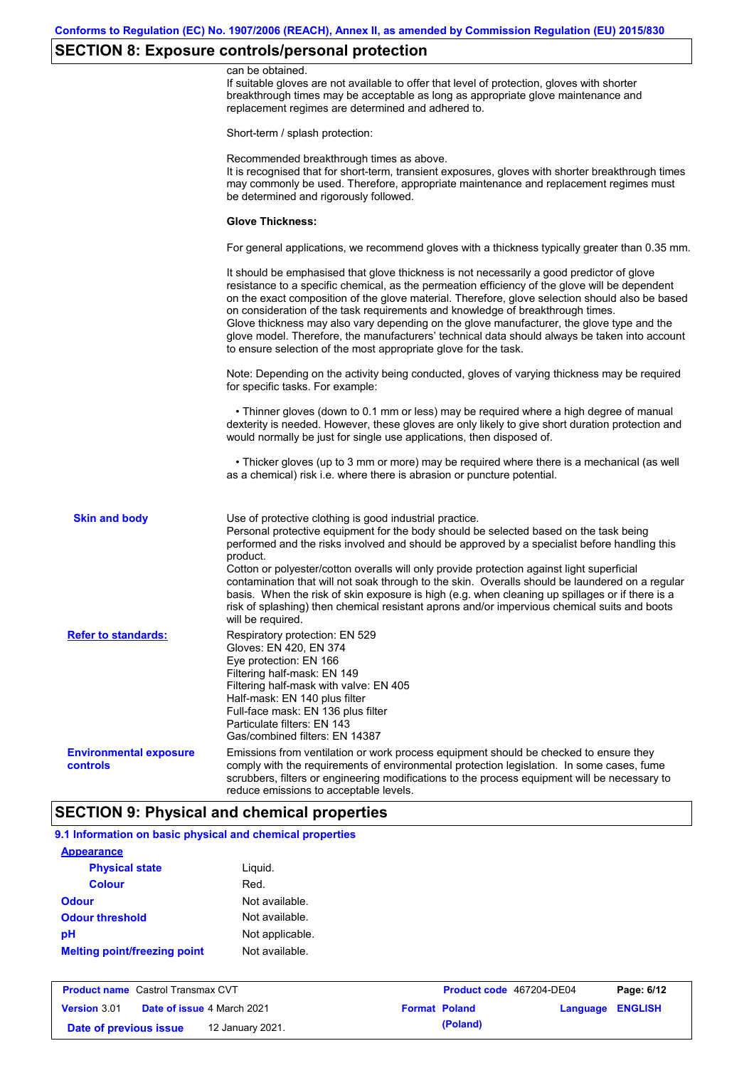## **SECTION 8: Exposure controls/personal protection**

|                                           | can be obtained.<br>If suitable gloves are not available to offer that level of protection, gloves with shorter<br>breakthrough times may be acceptable as long as appropriate glove maintenance and<br>replacement regimes are determined and adhered to.                                                                                                                                                                                                                                                                                                                                                                                                                            |
|-------------------------------------------|---------------------------------------------------------------------------------------------------------------------------------------------------------------------------------------------------------------------------------------------------------------------------------------------------------------------------------------------------------------------------------------------------------------------------------------------------------------------------------------------------------------------------------------------------------------------------------------------------------------------------------------------------------------------------------------|
|                                           | Short-term / splash protection:                                                                                                                                                                                                                                                                                                                                                                                                                                                                                                                                                                                                                                                       |
|                                           | Recommended breakthrough times as above.<br>It is recognised that for short-term, transient exposures, gloves with shorter breakthrough times<br>may commonly be used. Therefore, appropriate maintenance and replacement regimes must<br>be determined and rigorously followed.                                                                                                                                                                                                                                                                                                                                                                                                      |
|                                           | <b>Glove Thickness:</b>                                                                                                                                                                                                                                                                                                                                                                                                                                                                                                                                                                                                                                                               |
|                                           | For general applications, we recommend gloves with a thickness typically greater than 0.35 mm.                                                                                                                                                                                                                                                                                                                                                                                                                                                                                                                                                                                        |
|                                           | It should be emphasised that glove thickness is not necessarily a good predictor of glove<br>resistance to a specific chemical, as the permeation efficiency of the glove will be dependent<br>on the exact composition of the glove material. Therefore, glove selection should also be based<br>on consideration of the task requirements and knowledge of breakthrough times.<br>Glove thickness may also vary depending on the glove manufacturer, the glove type and the<br>glove model. Therefore, the manufacturers' technical data should always be taken into account<br>to ensure selection of the most appropriate glove for the task.                                     |
|                                           | Note: Depending on the activity being conducted, gloves of varying thickness may be required<br>for specific tasks. For example:                                                                                                                                                                                                                                                                                                                                                                                                                                                                                                                                                      |
|                                           | • Thinner gloves (down to 0.1 mm or less) may be required where a high degree of manual<br>dexterity is needed. However, these gloves are only likely to give short duration protection and<br>would normally be just for single use applications, then disposed of.                                                                                                                                                                                                                                                                                                                                                                                                                  |
|                                           | • Thicker gloves (up to 3 mm or more) may be required where there is a mechanical (as well<br>as a chemical) risk i.e. where there is abrasion or puncture potential.                                                                                                                                                                                                                                                                                                                                                                                                                                                                                                                 |
| <b>Skin and body</b>                      | Use of protective clothing is good industrial practice.<br>Personal protective equipment for the body should be selected based on the task being<br>performed and the risks involved and should be approved by a specialist before handling this<br>product.<br>Cotton or polyester/cotton overalls will only provide protection against light superficial<br>contamination that will not soak through to the skin. Overalls should be laundered on a regular<br>basis. When the risk of skin exposure is high (e.g. when cleaning up spillages or if there is a<br>risk of splashing) then chemical resistant aprons and/or impervious chemical suits and boots<br>will be required. |
| <b>Refer to standards:</b>                | Respiratory protection: EN 529<br>Gloves: EN 420, EN 374<br>Eye protection: EN 166<br>Filtering half-mask: EN 149<br>Filtering half-mask with valve: EN 405<br>Half-mask: EN 140 plus filter<br>Full-face mask: EN 136 plus filter<br>Particulate filters: EN 143<br>Gas/combined filters: EN 14387                                                                                                                                                                                                                                                                                                                                                                                   |
| <b>Environmental exposure</b><br>controls | Emissions from ventilation or work process equipment should be checked to ensure they<br>comply with the requirements of environmental protection legislation. In some cases, fume<br>scrubbers, filters or engineering modifications to the process equipment will be necessary to<br>reduce emissions to acceptable levels.                                                                                                                                                                                                                                                                                                                                                         |

#### **SECTION 9: Physical and chemical properties**

| 9.1 Information on basic physical and chemical properties |                                 |         |
|-----------------------------------------------------------|---------------------------------|---------|
| <b>Appearance</b>                                         |                                 |         |
| <b>Physical state</b>                                     | Liguid.                         |         |
| <b>Colour</b>                                             | Red.                            |         |
| <b>Odour</b>                                              | Not available.                  |         |
| <b>Odour threshold</b>                                    | Not available.                  |         |
| рH                                                        | Not applicable.                 |         |
| <b>Melting point/freezing point</b>                       | Not available.                  |         |
|                                                           |                                 |         |
| <b>Product name</b> Castrol Transmay CVT                  | <b>Product code</b> 467204-DE04 | Dano: P |

| <b>Product name</b> Castrol Transmax CVT |  | Product code 467204-DE04          |  | Page: 6/12           |                  |  |
|------------------------------------------|--|-----------------------------------|--|----------------------|------------------|--|
| <b>Version</b> 3.01                      |  | <b>Date of issue 4 March 2021</b> |  | <b>Format Poland</b> | Language ENGLISH |  |
| Date of previous issue                   |  | 12 January 2021.                  |  | (Poland)             |                  |  |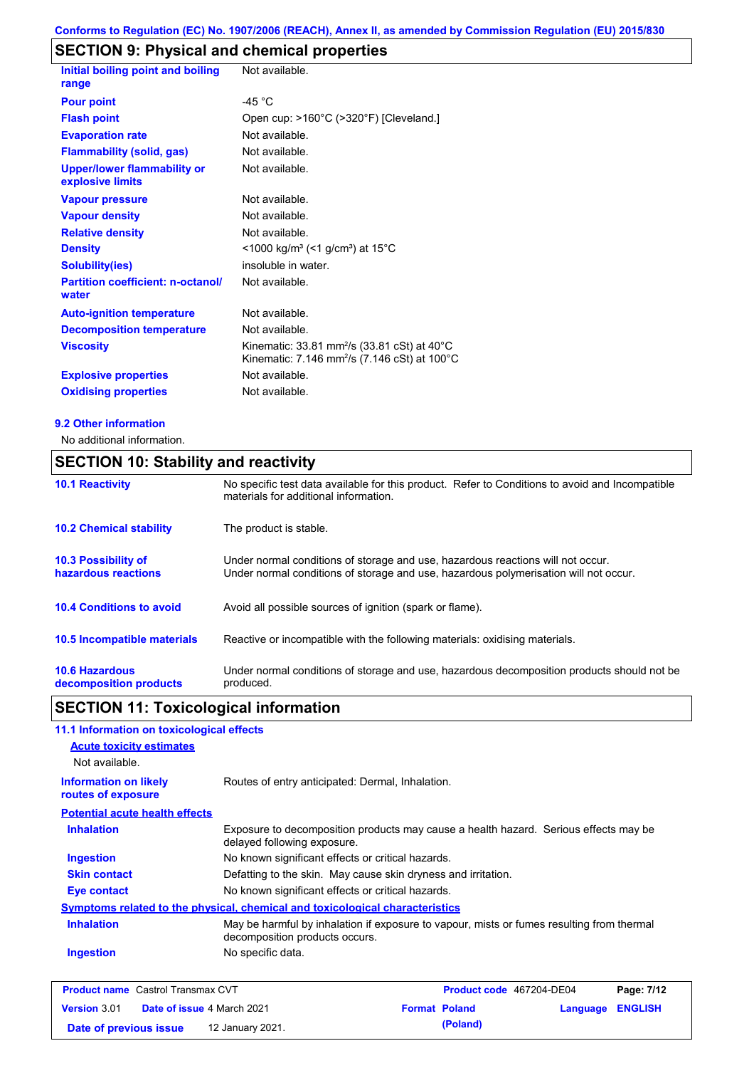# **SECTION 9: Physical and chemical properties**

| Initial boiling point and boiling                      | Not available.                                                                                                                           |
|--------------------------------------------------------|------------------------------------------------------------------------------------------------------------------------------------------|
| range                                                  |                                                                                                                                          |
| <b>Pour point</b>                                      | -45 $^{\circ}$ C                                                                                                                         |
| <b>Flash point</b>                                     | Open cup: >160°C (>320°F) [Cleveland.]                                                                                                   |
| <b>Evaporation rate</b>                                | Not available.                                                                                                                           |
| <b>Flammability (solid, gas)</b>                       | Not available.                                                                                                                           |
| <b>Upper/lower flammability or</b><br>explosive limits | Not available.                                                                                                                           |
| <b>Vapour pressure</b>                                 | Not available.                                                                                                                           |
| <b>Vapour density</b>                                  | Not available.                                                                                                                           |
| <b>Relative density</b>                                | Not available.                                                                                                                           |
| <b>Density</b>                                         | <1000 kg/m <sup>3</sup> (<1 g/cm <sup>3</sup> ) at 15°C                                                                                  |
| <b>Solubility(ies)</b>                                 | insoluble in water.                                                                                                                      |
| <b>Partition coefficient: n-octanol/</b><br>water      | Not available.                                                                                                                           |
| <b>Auto-ignition temperature</b>                       | Not available.                                                                                                                           |
| <b>Decomposition temperature</b>                       | Not available.                                                                                                                           |
| <b>Viscosity</b>                                       | Kinematic: 33.81 mm <sup>2</sup> /s (33.81 cSt) at $40^{\circ}$ C<br>Kinematic: 7.146 mm <sup>2</sup> /s (7.146 cSt) at 100 $^{\circ}$ C |
| <b>Explosive properties</b>                            | Not available.                                                                                                                           |
| <b>Oxidising properties</b>                            | Not available.                                                                                                                           |

#### **9.2 Other information**

No additional information.

### **SECTION 10: Stability and reactivity**

| <b>10.1 Reactivity</b>                            | No specific test data available for this product. Refer to Conditions to avoid and Incompatible<br>materials for additional information.                                |
|---------------------------------------------------|-------------------------------------------------------------------------------------------------------------------------------------------------------------------------|
| <b>10.2 Chemical stability</b>                    | The product is stable.                                                                                                                                                  |
| <b>10.3 Possibility of</b><br>hazardous reactions | Under normal conditions of storage and use, hazardous reactions will not occur.<br>Under normal conditions of storage and use, hazardous polymerisation will not occur. |
| <b>10.4 Conditions to avoid</b>                   | Avoid all possible sources of ignition (spark or flame).                                                                                                                |
| <b>10.5 Incompatible materials</b>                | Reactive or incompatible with the following materials: oxidising materials.                                                                                             |
| <b>10.6 Hazardous</b><br>decomposition products   | Under normal conditions of storage and use, hazardous decomposition products should not be<br>produced.                                                                 |

# **SECTION 11: Toxicological information**

| 11.1 Information on toxicological effects          |                                                                                                                             |
|----------------------------------------------------|-----------------------------------------------------------------------------------------------------------------------------|
| <b>Acute toxicity estimates</b>                    |                                                                                                                             |
| Not available.                                     |                                                                                                                             |
| <b>Information on likely</b><br>routes of exposure | Routes of entry anticipated: Dermal, Inhalation.                                                                            |
| <b>Potential acute health effects</b>              |                                                                                                                             |
| <b>Inhalation</b>                                  | Exposure to decomposition products may cause a health hazard. Serious effects may be<br>delayed following exposure.         |
| <b>Ingestion</b>                                   | No known significant effects or critical hazards.                                                                           |
| <b>Skin contact</b>                                | Defatting to the skin. May cause skin dryness and irritation.                                                               |
| <b>Eye contact</b>                                 | No known significant effects or critical hazards.                                                                           |
|                                                    | Symptoms related to the physical, chemical and toxicological characteristics                                                |
| <b>Inhalation</b>                                  | May be harmful by inhalation if exposure to vapour, mists or fumes resulting from thermal<br>decomposition products occurs. |
| <b>Ingestion</b>                                   | No specific data.                                                                                                           |
|                                                    |                                                                                                                             |

| <b>Product name</b> Castrol Transmax CVT |                                   |                      | <b>Product code</b> 467204-DE04 |                  | Page: 7/12 |
|------------------------------------------|-----------------------------------|----------------------|---------------------------------|------------------|------------|
| <b>Version</b> 3.01                      | <b>Date of issue 4 March 2021</b> | <b>Format Poland</b> |                                 | Language ENGLISH |            |
| Date of previous issue                   | 12 January 2021.                  |                      | (Poland)                        |                  |            |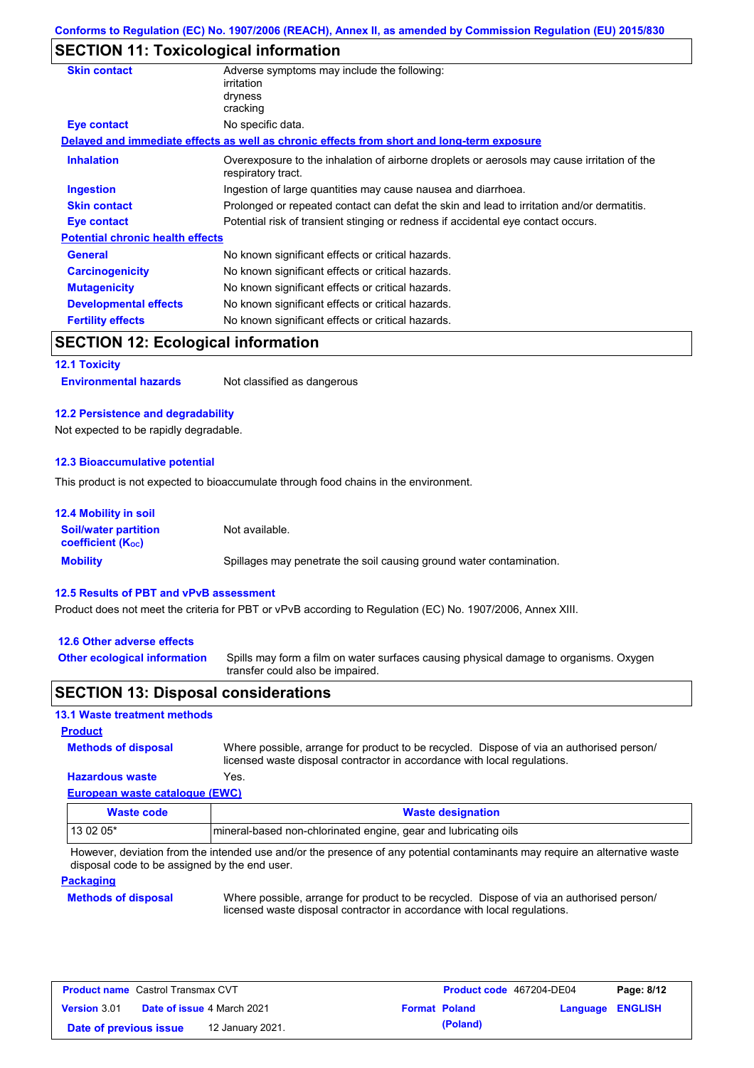### **SECTION 11: Toxicological information**

| <b>Skin contact</b>                     | Adverse symptoms may include the following:<br>irritation<br>dryness<br>cracking                                  |  |  |  |
|-----------------------------------------|-------------------------------------------------------------------------------------------------------------------|--|--|--|
| Eye contact                             | No specific data.                                                                                                 |  |  |  |
|                                         | Delayed and immediate effects as well as chronic effects from short and long-term exposure                        |  |  |  |
| <b>Inhalation</b>                       | Overexposure to the inhalation of airborne droplets or aerosols may cause irritation of the<br>respiratory tract. |  |  |  |
| <b>Ingestion</b>                        | Ingestion of large quantities may cause nausea and diarrhoea.                                                     |  |  |  |
| <b>Skin contact</b>                     | Prolonged or repeated contact can defat the skin and lead to irritation and/or dermatitis.                        |  |  |  |
| Eye contact                             | Potential risk of transient stinging or redness if accidental eye contact occurs.                                 |  |  |  |
| <b>Potential chronic health effects</b> |                                                                                                                   |  |  |  |
| <b>General</b>                          | No known significant effects or critical hazards.                                                                 |  |  |  |
| <b>Carcinogenicity</b>                  | No known significant effects or critical hazards.                                                                 |  |  |  |
| <b>Mutagenicity</b>                     | No known significant effects or critical hazards.                                                                 |  |  |  |
| <b>Developmental effects</b>            | No known significant effects or critical hazards.                                                                 |  |  |  |
| <b>Fertility effects</b>                | No known significant effects or critical hazards.                                                                 |  |  |  |
|                                         |                                                                                                                   |  |  |  |

### **SECTION 12: Ecological information**

**12.1 Toxicity**

**Environmental hazards** Not classified as dangerous

#### **12.2 Persistence and degradability**

Not expected to be rapidly degradable.

#### **12.3 Bioaccumulative potential**

This product is not expected to bioaccumulate through food chains in the environment.

| <b>12.4 Mobility in soil</b>                            |                                                                      |
|---------------------------------------------------------|----------------------------------------------------------------------|
| <b>Soil/water partition</b><br><b>coefficient (Koc)</b> | Not available.                                                       |
| <b>Mobility</b>                                         | Spillages may penetrate the soil causing ground water contamination. |

#### **12.5 Results of PBT and vPvB assessment**

Product does not meet the criteria for PBT or vPvB according to Regulation (EC) No. 1907/2006, Annex XIII.

#### **12.6 Other adverse effects**

**Other ecological information**

Spills may form a film on water surfaces causing physical damage to organisms. Oxygen transfer could also be impaired.

#### **SECTION 13: Disposal considerations**

#### **13.1 Waste treatment methods**

**Methods of disposal Product**

Where possible, arrange for product to be recycled. Dispose of via an authorised person/ licensed waste disposal contractor in accordance with local regulations.

#### **European waste catalogue (EWC) Hazardous waste** Yes.

| Waste code | <b>Waste designation</b>                                        |
|------------|-----------------------------------------------------------------|
| 13 02 05*  | mineral-based non-chlorinated engine, gear and lubricating oils |

However, deviation from the intended use and/or the presence of any potential contaminants may require an alternative waste disposal code to be assigned by the end user.

#### **Packaging**

#### **Methods of disposal**

Where possible, arrange for product to be recycled. Dispose of via an authorised person/ licensed waste disposal contractor in accordance with local regulations.

| <b>Product name</b> Castrol Transmax CVT |  |                                   | Product code 467204-DE04 |                      | Page: 8/12              |  |
|------------------------------------------|--|-----------------------------------|--------------------------|----------------------|-------------------------|--|
| <b>Version 3.01</b>                      |  | <b>Date of issue 4 March 2021</b> |                          | <b>Format Poland</b> | <b>Language ENGLISH</b> |  |
| Date of previous issue                   |  | 12 January 2021.                  |                          | (Poland)             |                         |  |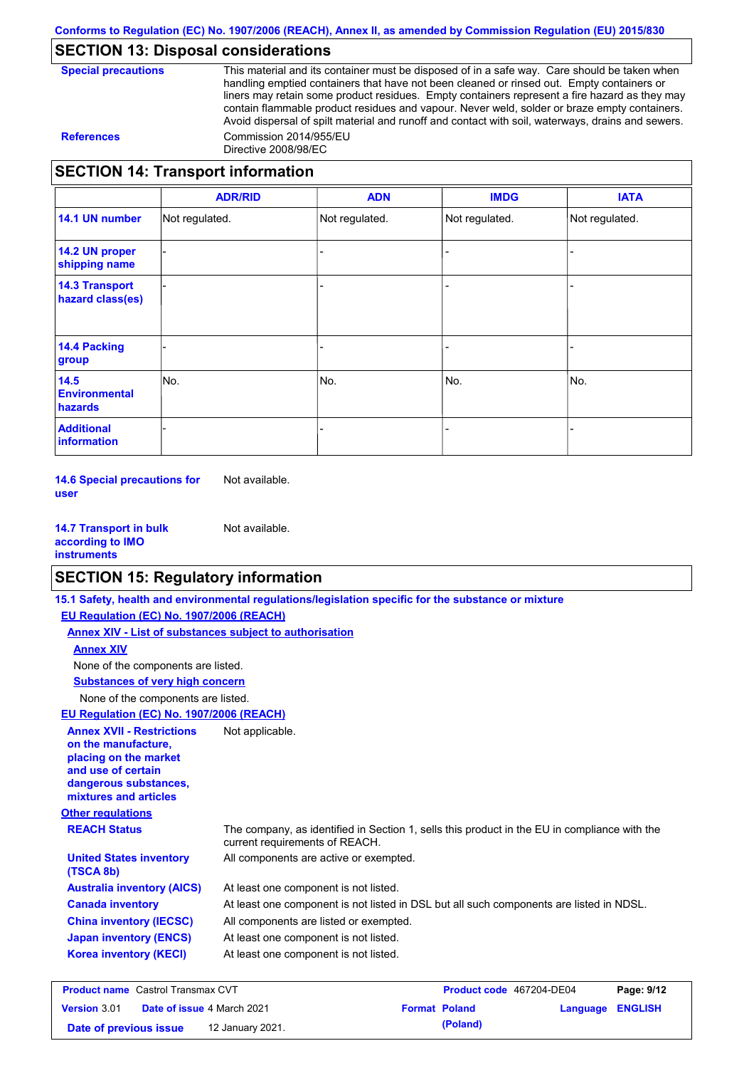### **SECTION 13: Disposal considerations**

**Special precautions** This material and its container must be disposed of in a safe way. Care should be taken when handling emptied containers that have not been cleaned or rinsed out. Empty containers or liners may retain some product residues. Empty containers represent a fire hazard as they may contain flammable product residues and vapour. Never weld, solder or braze empty containers. Avoid dispersal of spilt material and runoff and contact with soil, waterways, drains and sewers. **References** Commission 2014/955/EU Directive 2008/98/EC

### **SECTION 14: Transport information**

|                                           | <b>ADR/RID</b> | <b>ADN</b>     | <b>IMDG</b>    | <b>IATA</b>    |
|-------------------------------------------|----------------|----------------|----------------|----------------|
| 14.1 UN number                            | Not regulated. | Not regulated. | Not regulated. | Not regulated. |
| 14.2 UN proper<br>shipping name           |                |                |                |                |
| <b>14.3 Transport</b><br>hazard class(es) |                |                |                |                |
| <b>14.4 Packing</b><br>group              |                |                |                |                |
| 14.5<br><b>Environmental</b><br>hazards   | No.            | No.            | No.            | No.            |
| <b>Additional</b><br>information          |                |                |                |                |

**14.6 Special precautions for user** Not available.

**14.7 Transport in bulk according to IMO instruments** Not available.

### **SECTION 15: Regulatory information**

|                                                                                                                                                          | 15.1 Safety, health and environmental regulations/legislation specific for the substance or mixture                            |                                 |            |
|----------------------------------------------------------------------------------------------------------------------------------------------------------|--------------------------------------------------------------------------------------------------------------------------------|---------------------------------|------------|
| EU Regulation (EC) No. 1907/2006 (REACH)                                                                                                                 |                                                                                                                                |                                 |            |
| Annex XIV - List of substances subject to authorisation                                                                                                  |                                                                                                                                |                                 |            |
| <b>Annex XIV</b>                                                                                                                                         |                                                                                                                                |                                 |            |
| None of the components are listed.                                                                                                                       |                                                                                                                                |                                 |            |
| <b>Substances of very high concern</b>                                                                                                                   |                                                                                                                                |                                 |            |
| None of the components are listed.                                                                                                                       |                                                                                                                                |                                 |            |
| EU Regulation (EC) No. 1907/2006 (REACH)                                                                                                                 |                                                                                                                                |                                 |            |
| <b>Annex XVII - Restrictions</b><br>on the manufacture.<br>placing on the market<br>and use of certain<br>dangerous substances,<br>mixtures and articles | Not applicable.                                                                                                                |                                 |            |
| <b>Other regulations</b>                                                                                                                                 |                                                                                                                                |                                 |            |
| <b>REACH Status</b>                                                                                                                                      | The company, as identified in Section 1, sells this product in the EU in compliance with the<br>current requirements of REACH. |                                 |            |
| <b>United States inventory</b><br>(TSCA 8b)                                                                                                              | All components are active or exempted.                                                                                         |                                 |            |
| <b>Australia inventory (AICS)</b>                                                                                                                        | At least one component is not listed.                                                                                          |                                 |            |
| <b>Canada inventory</b>                                                                                                                                  | At least one component is not listed in DSL but all such components are listed in NDSL.                                        |                                 |            |
| <b>China inventory (IECSC)</b>                                                                                                                           | All components are listed or exempted.                                                                                         |                                 |            |
| <b>Japan inventory (ENCS)</b>                                                                                                                            | At least one component is not listed.                                                                                          |                                 |            |
| <b>Korea inventory (KECI)</b>                                                                                                                            | At least one component is not listed.                                                                                          |                                 |            |
| <b>Broduct name</b> Castrol Transmay CVT                                                                                                                 |                                                                                                                                | <b>Droduct code</b> 467204 DE04 | $D2010112$ |

| <b>Product name</b> Castrol Transmax CVT |  |                                   | Product code 467204-DE04 |                      | Page: 9/12              |  |
|------------------------------------------|--|-----------------------------------|--------------------------|----------------------|-------------------------|--|
| <b>Version 3.01</b>                      |  | <b>Date of issue 4 March 2021</b> |                          | <b>Format Poland</b> | <b>Language ENGLISH</b> |  |
| Date of previous issue                   |  | 12 January 2021.                  |                          | (Poland)             |                         |  |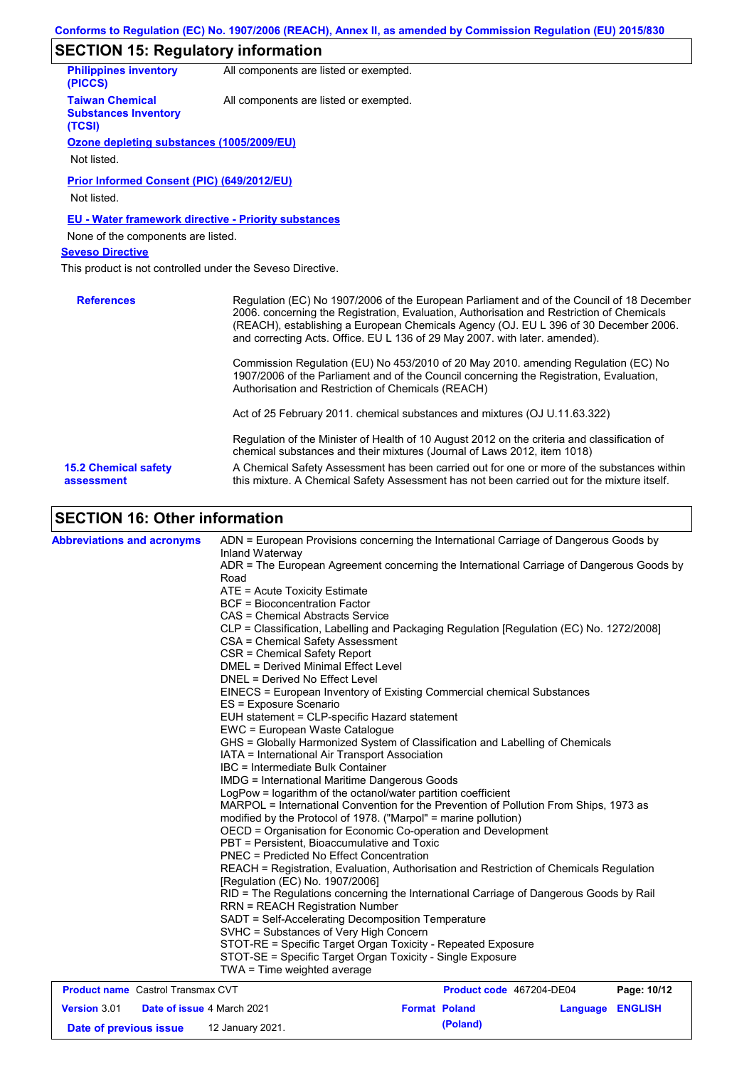#### **SECTION 15: Regulatory information**

| <b>Philippines inventory</b><br>(PICCS)                         | All components are listed or exempted.                                                                                                                                                                                                                                                                                                                        |  |  |  |  |  |
|-----------------------------------------------------------------|---------------------------------------------------------------------------------------------------------------------------------------------------------------------------------------------------------------------------------------------------------------------------------------------------------------------------------------------------------------|--|--|--|--|--|
| <b>Taiwan Chemical</b><br><b>Substances Inventory</b><br>(TCSI) | All components are listed or exempted.                                                                                                                                                                                                                                                                                                                        |  |  |  |  |  |
| Ozone depleting substances (1005/2009/EU)                       |                                                                                                                                                                                                                                                                                                                                                               |  |  |  |  |  |
| Not listed.                                                     |                                                                                                                                                                                                                                                                                                                                                               |  |  |  |  |  |
| <b>Prior Informed Consent (PIC) (649/2012/EU)</b>               |                                                                                                                                                                                                                                                                                                                                                               |  |  |  |  |  |
| Not listed.                                                     |                                                                                                                                                                                                                                                                                                                                                               |  |  |  |  |  |
|                                                                 | <b>EU - Water framework directive - Priority substances</b>                                                                                                                                                                                                                                                                                                   |  |  |  |  |  |
| None of the components are listed.                              |                                                                                                                                                                                                                                                                                                                                                               |  |  |  |  |  |
| <b>Seveso Directive</b>                                         |                                                                                                                                                                                                                                                                                                                                                               |  |  |  |  |  |
|                                                                 | This product is not controlled under the Seveso Directive.                                                                                                                                                                                                                                                                                                    |  |  |  |  |  |
| <b>References</b>                                               | Regulation (EC) No 1907/2006 of the European Parliament and of the Council of 18 December<br>2006. concerning the Registration, Evaluation, Authorisation and Restriction of Chemicals<br>(REACH), establishing a European Chemicals Agency (OJ. EU L 396 of 30 December 2006.<br>and correcting Acts. Office. EU L 136 of 29 May 2007. with later. amended). |  |  |  |  |  |
|                                                                 | Commission Regulation (EU) No 453/2010 of 20 May 2010, amending Regulation (EC) No<br>1907/2006 of the Parliament and of the Council concerning the Registration, Evaluation,<br>Authorisation and Restriction of Chemicals (REACH)                                                                                                                           |  |  |  |  |  |
|                                                                 | Act of 25 February 2011. chemical substances and mixtures (OJ U.11.63.322)                                                                                                                                                                                                                                                                                    |  |  |  |  |  |
|                                                                 | Regulation of the Minister of Health of 10 August 2012 on the criteria and classification of<br>chemical substances and their mixtures (Journal of Laws 2012, item 1018)                                                                                                                                                                                      |  |  |  |  |  |
|                                                                 | A Chemical Safety Assessment has been carried out for one or more of the substances within                                                                                                                                                                                                                                                                    |  |  |  |  |  |

# **SECTION 16: Other information**

| <b>Abbreviations and acronyms</b>        | ADN = European Provisions concerning the International Carriage of Dangerous Goods by                                                                                                                                                                                    |                          |             |  |  |  |
|------------------------------------------|--------------------------------------------------------------------------------------------------------------------------------------------------------------------------------------------------------------------------------------------------------------------------|--------------------------|-------------|--|--|--|
|                                          | Inland Waterway<br>ADR = The European Agreement concerning the International Carriage of Dangerous Goods by<br>Road                                                                                                                                                      |                          |             |  |  |  |
|                                          | ATE = Acute Toxicity Estimate<br><b>BCF</b> = Bioconcentration Factor<br>CAS = Chemical Abstracts Service                                                                                                                                                                |                          |             |  |  |  |
|                                          | CLP = Classification, Labelling and Packaging Regulation [Regulation (EC) No. 1272/2008]<br>CSA = Chemical Safety Assessment<br>CSR = Chemical Safety Report                                                                                                             |                          |             |  |  |  |
|                                          | DMEL = Derived Minimal Effect Level<br>DNEL = Derived No Effect Level                                                                                                                                                                                                    |                          |             |  |  |  |
|                                          | EINECS = European Inventory of Existing Commercial chemical Substances<br>ES = Exposure Scenario                                                                                                                                                                         |                          |             |  |  |  |
|                                          | EUH statement = CLP-specific Hazard statement<br>EWC = European Waste Catalogue                                                                                                                                                                                          |                          |             |  |  |  |
|                                          | GHS = Globally Harmonized System of Classification and Labelling of Chemicals<br>IATA = International Air Transport Association                                                                                                                                          |                          |             |  |  |  |
|                                          | IBC = Intermediate Bulk Container<br>IMDG = International Maritime Dangerous Goods                                                                                                                                                                                       |                          |             |  |  |  |
|                                          | LogPow = logarithm of the octanol/water partition coefficient                                                                                                                                                                                                            |                          |             |  |  |  |
|                                          | MARPOL = International Convention for the Prevention of Pollution From Ships, 1973 as<br>modified by the Protocol of 1978. ("Marpol" = marine pollution)<br>OECD = Organisation for Economic Co-operation and Development<br>PBT = Persistent, Bioaccumulative and Toxic |                          |             |  |  |  |
|                                          |                                                                                                                                                                                                                                                                          |                          |             |  |  |  |
|                                          | <b>PNEC = Predicted No Effect Concentration</b>                                                                                                                                                                                                                          |                          |             |  |  |  |
|                                          | REACH = Registration, Evaluation, Authorisation and Restriction of Chemicals Regulation<br>[Regulation (EC) No. 1907/2006]                                                                                                                                               |                          |             |  |  |  |
|                                          | RID = The Regulations concerning the International Carriage of Dangerous Goods by Rail<br><b>RRN = REACH Registration Number</b>                                                                                                                                         |                          |             |  |  |  |
|                                          | SADT = Self-Accelerating Decomposition Temperature<br>SVHC = Substances of Very High Concern                                                                                                                                                                             |                          |             |  |  |  |
|                                          | STOT-RE = Specific Target Organ Toxicity - Repeated Exposure<br>STOT-SE = Specific Target Organ Toxicity - Single Exposure<br>TWA = Time weighted average                                                                                                                |                          |             |  |  |  |
| <b>Product name</b> Castrol Transmax CVT |                                                                                                                                                                                                                                                                          | Product code 467204-DE04 | Page: 10/12 |  |  |  |

| <b>FIGURE INCORDED LOCATED LIGHTSHICA CV L</b> |                                   |                      |          | <b>FIGURE COUP 407 ZU4-DEU4</b> | Faye. IVIIZ |
|------------------------------------------------|-----------------------------------|----------------------|----------|---------------------------------|-------------|
| <b>Version 3.01</b>                            | <b>Date of issue 4 March 2021</b> | <b>Format Poland</b> |          | Language ENGLISH                |             |
| Date of previous issue                         | 12 January 2021.                  |                      | (Poland) |                                 |             |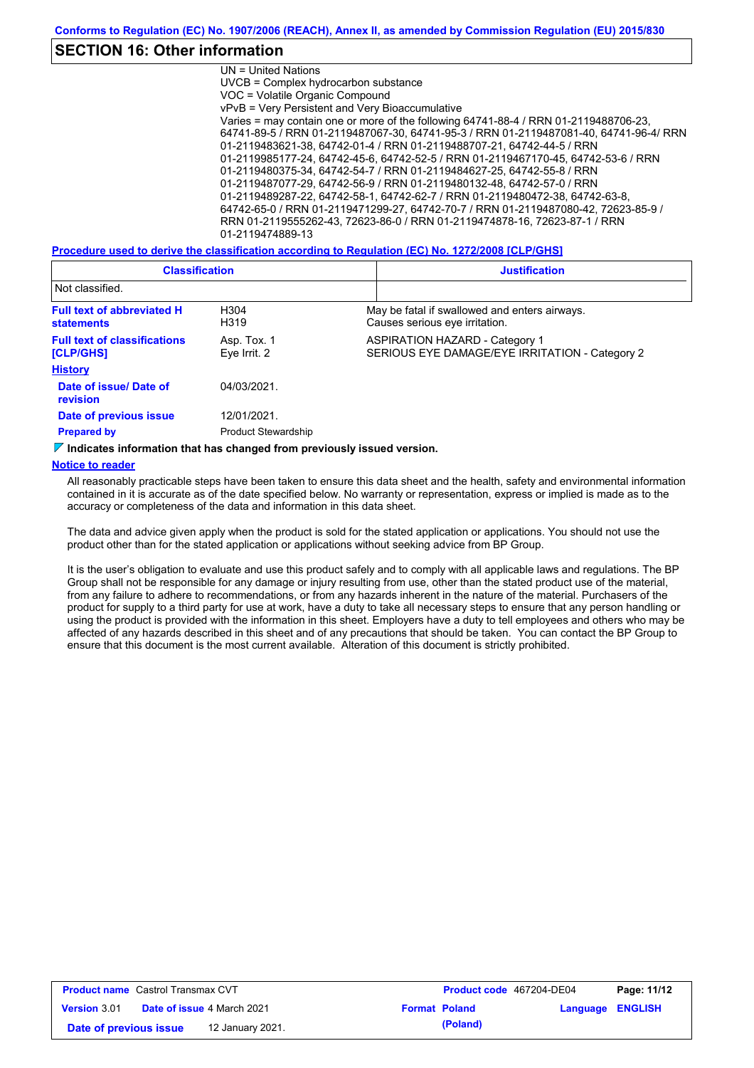### **SECTION 16: Other information**

UN = United Nations UVCB = Complex hydrocarbon substance VOC = Volatile Organic Compound vPvB = Very Persistent and Very Bioaccumulative Varies = may contain one or more of the following 64741-88-4 / RRN 01-2119488706-23, 64741-89-5 / RRN 01-2119487067-30, 64741-95-3 / RRN 01-2119487081-40, 64741-96-4/ RRN 01-2119483621-38, 64742-01-4 / RRN 01-2119488707-21, 64742-44-5 / RRN 01-2119985177-24, 64742-45-6, 64742-52-5 / RRN 01-2119467170-45, 64742-53-6 / RRN 01-2119480375-34, 64742-54-7 / RRN 01-2119484627-25, 64742-55-8 / RRN 01-2119487077-29, 64742-56-9 / RRN 01-2119480132-48, 64742-57-0 / RRN 01-2119489287-22, 64742-58-1, 64742-62-7 / RRN 01-2119480472-38, 64742-63-8, 64742-65-0 / RRN 01-2119471299-27, 64742-70-7 / RRN 01-2119487080-42, 72623-85-9 / RRN 01-2119555262-43, 72623-86-0 / RRN 01-2119474878-16, 72623-87-1 / RRN 01-2119474889-13

**Procedure used to derive the classification according to Regulation (EC) No. 1272/2008 [CLP/GHS]**

| <b>Classification</b>                                                           |                             | <b>Justification</b>                                                                    |  |  |
|---------------------------------------------------------------------------------|-----------------------------|-----------------------------------------------------------------------------------------|--|--|
| Not classified.                                                                 |                             |                                                                                         |  |  |
| <b>Full text of abbreviated H</b><br>H304<br>H319<br><b>statements</b>          |                             | May be fatal if swallowed and enters airways.<br>Causes serious eye irritation.         |  |  |
| <b>Full text of classifications</b><br><b>[CLP/GHS]</b>                         | Asp. Tox. 1<br>Eye Irrit. 2 | <b>ASPIRATION HAZARD - Category 1</b><br>SERIOUS EYE DAMAGE/EYE IRRITATION - Category 2 |  |  |
| <b>History</b>                                                                  |                             |                                                                                         |  |  |
| Date of issue/Date of<br><b>revision</b>                                        | 04/03/2021.                 |                                                                                         |  |  |
| Date of previous issue                                                          | 12/01/2021.                 |                                                                                         |  |  |
| <b>Prepared by</b><br><b>Product Stewardship</b>                                |                             |                                                                                         |  |  |
| $\nabla$ Indicates information that has changed from previously issued version. |                             |                                                                                         |  |  |

#### **Notice to reader**

All reasonably practicable steps have been taken to ensure this data sheet and the health, safety and environmental information contained in it is accurate as of the date specified below. No warranty or representation, express or implied is made as to the accuracy or completeness of the data and information in this data sheet.

The data and advice given apply when the product is sold for the stated application or applications. You should not use the product other than for the stated application or applications without seeking advice from BP Group.

It is the user's obligation to evaluate and use this product safely and to comply with all applicable laws and regulations. The BP Group shall not be responsible for any damage or injury resulting from use, other than the stated product use of the material, from any failure to adhere to recommendations, or from any hazards inherent in the nature of the material. Purchasers of the product for supply to a third party for use at work, have a duty to take all necessary steps to ensure that any person handling or using the product is provided with the information in this sheet. Employers have a duty to tell employees and others who may be affected of any hazards described in this sheet and of any precautions that should be taken. You can contact the BP Group to ensure that this document is the most current available. Alteration of this document is strictly prohibited.

| <b>Product name</b> Castrol Transmax CVT |  |                                   |  | <b>Product code</b> 467204-DE04 | Page: 11/12             |  |
|------------------------------------------|--|-----------------------------------|--|---------------------------------|-------------------------|--|
| <b>Version 3.01</b>                      |  | <b>Date of issue 4 March 2021</b> |  | <b>Format Poland</b>            | <b>Language ENGLISH</b> |  |
| Date of previous issue                   |  | 12 January 2021.                  |  | (Poland)                        |                         |  |